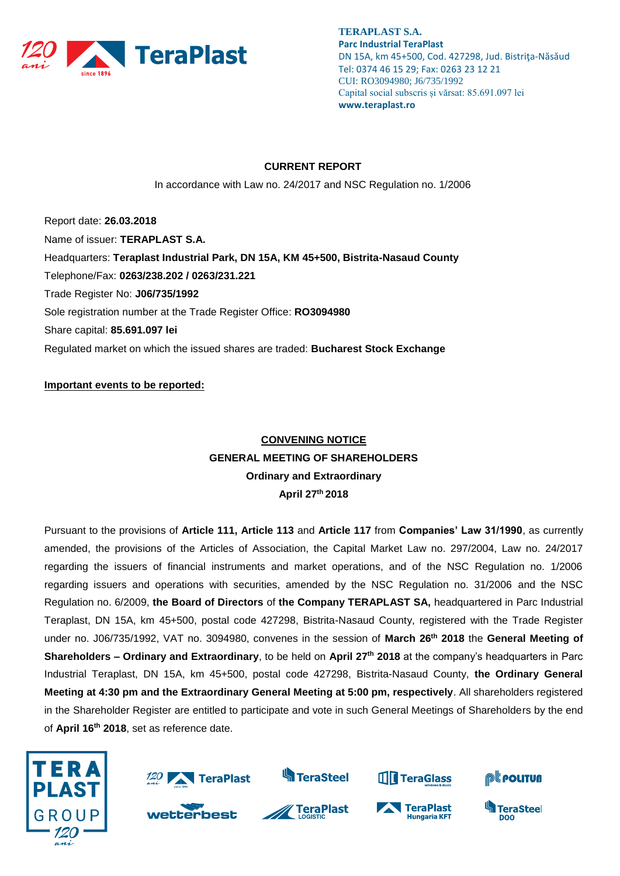

#### **CURRENT REPORT**

In accordance with Law no. 24/2017 and NSC Regulation no. 1/2006

Report date: **26.03.2018** Name of issuer: **TERAPLAST S.A.**  Headquarters: **Teraplast Industrial Park, DN 15A, KM 45+500, Bistrita-Nasaud County** Telephone/Fax: **0263/238.202 / 0263/231.221** Trade Register No: **J06/735/1992** Sole registration number at the Trade Register Office: **RO3094980** Share capital: **85.691.097 lei**  Regulated market on which the issued shares are traded: **Bucharest Stock Exchange**

**Important events to be reported:**

# **CONVENING NOTICE GENERAL MEETING OF SHAREHOLDERS Ordinary and Extraordinary April 27 th 2018**

Pursuant to the provisions of **Article 111, Article 113** and **Article 117** from **Companies' Law 31/1990**, as currently amended, the provisions of the Articles of Association, the Capital Market Law no. 297/2004, Law no. 24/2017 regarding the issuers of financial instruments and market operations, and of the NSC Regulation no. 1/2006 regarding issuers and operations with securities, amended by the NSC Regulation no. 31/2006 and the NSC Regulation no. 6/2009, **the Board of Directors** of **the Company TERAPLAST SA,** headquartered in Parc Industrial Teraplast, DN 15A, km 45+500, postal code 427298, Bistrita-Nasaud County, registered with the Trade Register under no. J06/735/1992, VAT no. 3094980, convenes in the session of **March 26th 2018** the **General Meeting of Shareholders – Ordinary and Extraordinary**, to be held on **April 27 th 2018** at the company's headquarters in Parc Industrial Teraplast, DN 15A, km 45+500, postal code 427298, Bistrita-Nasaud County, **the Ordinary General Meeting at 4:30 pm and the Extraordinary General Meeting at 5:00 pm, respectively**. All shareholders registered in the Shareholder Register are entitled to participate and vote in such General Meetings of Shareholders by the end of **April 16 th 2018**, set as reference date.





wetterbest



**S**TeraSteel





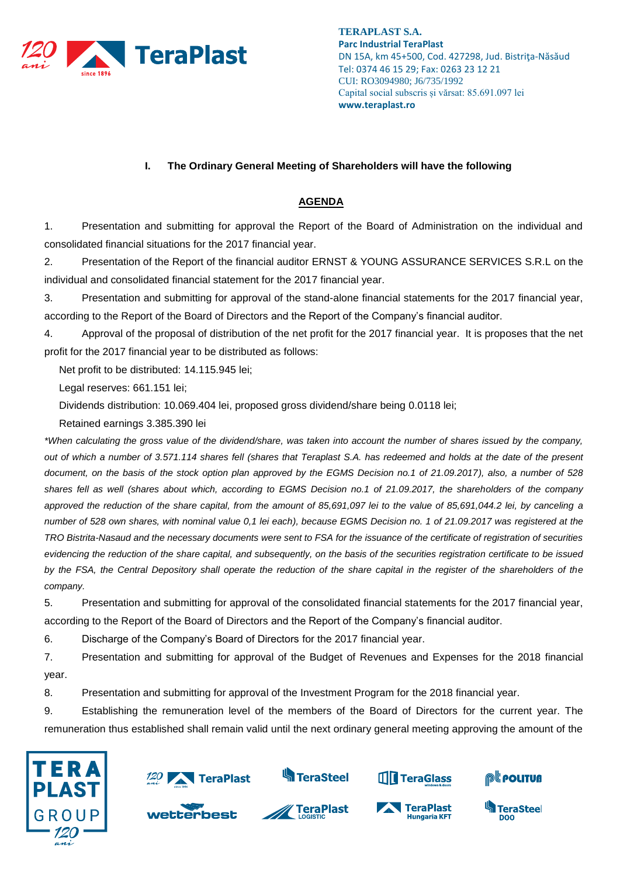

### **I. The Ordinary General Meeting of Shareholders will have the following**

## **AGENDA**

1. Presentation and submitting for approval the Report of the Board of Administration on the individual and consolidated financial situations for the 2017 financial year.

2. Presentation of the Report of the financial auditor ERNST & YOUNG ASSURANCE SERVICES S.R.L on the individual and consolidated financial statement for the 2017 financial year.

3. Presentation and submitting for approval of the stand-alone financial statements for the 2017 financial year, according to the Report of the Board of Directors and the Report of the Company's financial auditor.

4. Approval of the proposal of distribution of the net profit for the 2017 financial year. It is proposes that the net profit for the 2017 financial year to be distributed as follows:

Net profit to be distributed: 14.115.945 lei;

Legal reserves: 661.151 lei;

Dividends distribution: 10.069.404 lei, proposed gross dividend/share being 0.0118 lei;

Retained earnings 3.385.390 lei

*\*When calculating the gross value of the dividend/share, was taken into account the number of shares issued by the company, out of which a number of 3.571.114 shares fell (shares that Teraplast S.A. has redeemed and holds at the date of the present document, on the basis of the stock option plan approved by the EGMS Decision no.1 of 21.09.2017), also, a number of 528 shares fell as well (shares about which, according to EGMS Decision no.1 of 21.09.2017, the shareholders of the company approved the reduction of the share capital, from the amount of 85,691,097 lei to the value of 85,691,044.2 lei, by canceling a number of 528 own shares, with nominal value 0,1 lei each), because EGMS Decision no. 1 of 21.09.2017 was registered at the TRO Bistrita-Nasaud and the necessary documents were sent to FSA for the issuance of the certificate of registration of securities evidencing the reduction of the share capital, and subsequently, on the basis of the securities registration certificate to be issued*  by the FSA, the Central Depository shall operate the reduction of the share capital in the register of the shareholders of the *company.*

5. Presentation and submitting for approval of the consolidated financial statements for the 2017 financial year, according to the Report of the Board of Directors and the Report of the Company's financial auditor.

6. Discharge of the Company's Board of Directors for the 2017 financial year.

7. Presentation and submitting for approval of the Budget of Revenues and Expenses for the 2018 financial year.

8. Presentation and submitting for approval of the Investment Program for the 2018 financial year.

9. Establishing the remuneration level of the members of the Board of Directors for the current year. The remuneration thus established shall remain valid until the next ordinary general meeting approving the amount of the





wetterbest







D<sub>00</sub>

**TeraSteel** 



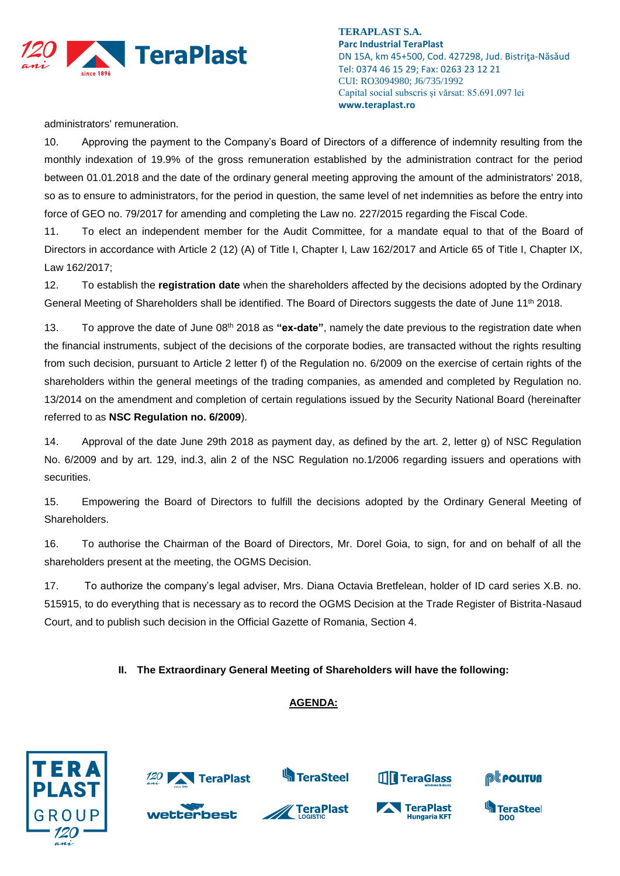

administrators' remuneration.

10. Approving the payment to the Company's Board of Directors of a difference of indemnity resulting from the monthly indexation of 19.9% of the gross remuneration established by the administration contract for the period between 01.01.2018 and the date of the ordinary general meeting approving the amount of the administrators' 2018, so as to ensure to administrators, for the period in question, the same level of net indemnities as before the entry into force of GEO no. 79/2017 for amending and completing the Law no. 227/2015 regarding the Fiscal Code.

11. To elect an independent member for the Audit Committee, for a mandate equal to that of the Board of Directors in accordance with Article 2 (12) (A) of Title I, Chapter I, Law 162/2017 and Article 65 of Title I, Chapter IX, Law 162/2017;

12. To establish the **registration date** when the shareholders affected by the decisions adopted by the Ordinary General Meeting of Shareholders shall be identified. The Board of Directors suggests the date of June 11<sup>th</sup> 2018.

13. To approve the date of June 08th 2018 as **"ex-date"**, namely the date previous to the registration date when the financial instruments, subject of the decisions of the corporate bodies, are transacted without the rights resulting from such decision, pursuant to Article 2 letter f) of the Regulation no. 6/2009 on the exercise of certain rights of the shareholders within the general meetings of the trading companies, as amended and completed by Regulation no. 13/2014 on the amendment and completion of certain regulations issued by the Security National Board (hereinafter referred to as **NSC Regulation no. 6/2009**).

14. Approval of the date June 29th 2018 as payment day, as defined by the art. 2, letter g) of NSC Regulation No. 6/2009 and by art. 129, ind.3, alin 2 of the NSC Regulation no.1/2006 regarding issuers and operations with securities.

15. Empowering the Board of Directors to fulfill the decisions adopted by the Ordinary General Meeting of Shareholders.

16. To authorise the Chairman of the Board of Directors, Mr. Dorel Goia, to sign, for and on behalf of all the shareholders present at the meeting, the OGMS Decision.

17. To authorize the company's legal adviser, Mrs. Diana Octavia Bretfelean, holder of ID card series X.B. no. 515915, to do everything that is necessary as to record the OGMS Decision at the Trade Register of Bistrita-Nasaud Court, and to publish such decision in the Official Gazette of Romania, Section 4.

### **II. The Extraordinary General Meeting of Shareholders will have the following:**

## **AGENDA:**

**S**TeraSteel





TeraPlast







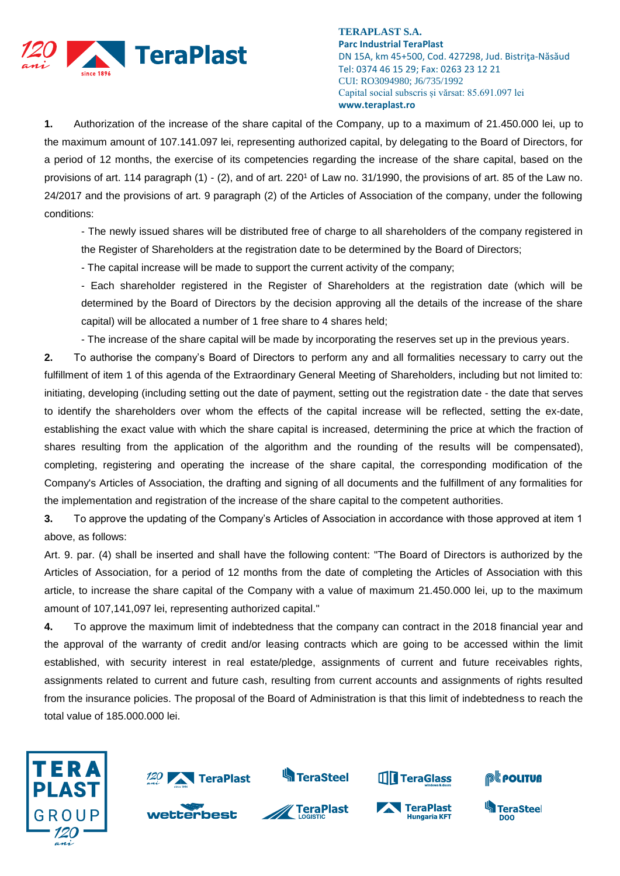

**1.** Authorization of the increase of the share capital of the Company, up to a maximum of 21.450.000 lei, up to the maximum amount of 107.141.097 lei, representing authorized capital, by delegating to the Board of Directors, for a period of 12 months, the exercise of its competencies regarding the increase of the share capital, based on the provisions of art. 114 paragraph (1) - (2), and of art. 220<sup>1</sup> of Law no. 31/1990, the provisions of art. 85 of the Law no. 24/2017 and the provisions of art. 9 paragraph (2) of the Articles of Association of the company, under the following conditions:

- The newly issued shares will be distributed free of charge to all shareholders of the company registered in the Register of Shareholders at the registration date to be determined by the Board of Directors;

- The capital increase will be made to support the current activity of the company;

- Each shareholder registered in the Register of Shareholders at the registration date (which will be determined by the Board of Directors by the decision approving all the details of the increase of the share capital) will be allocated a number of 1 free share to 4 shares held;

- The increase of the share capital will be made by incorporating the reserves set up in the previous years.

**2.** To authorise the company's Board of Directors to perform any and all formalities necessary to carry out the fulfillment of item 1 of this agenda of the Extraordinary General Meeting of Shareholders, including but not limited to: initiating, developing (including setting out the date of payment, setting out the registration date - the date that serves to identify the shareholders over whom the effects of the capital increase will be reflected, setting the ex-date, establishing the exact value with which the share capital is increased, determining the price at which the fraction of shares resulting from the application of the algorithm and the rounding of the results will be compensated), completing, registering and operating the increase of the share capital, the corresponding modification of the Company's Articles of Association, the drafting and signing of all documents and the fulfillment of any formalities for the implementation and registration of the increase of the share capital to the competent authorities.

**3.** To approve the updating of the Company's Articles of Association in accordance with those approved at item 1 above, as follows:

Art. 9. par. (4) shall be inserted and shall have the following content: "The Board of Directors is authorized by the Articles of Association, for a period of 12 months from the date of completing the Articles of Association with this article, to increase the share capital of the Company with a value of maximum 21.450.000 lei, up to the maximum amount of 107,141,097 lei, representing authorized capital."

**4.** To approve the maximum limit of indebtedness that the company can contract in the 2018 financial year and the approval of the warranty of credit and/or leasing contracts which are going to be accessed within the limit established, with security interest in real estate/pledge, assignments of current and future receivables rights, assignments related to current and future cash, resulting from current accounts and assignments of rights resulted from the insurance policies. The proposal of the Board of Administration is that this limit of indebtedness to reach the total value of 185.000.000 lei.





TeraPlast



**S**TeraSteel





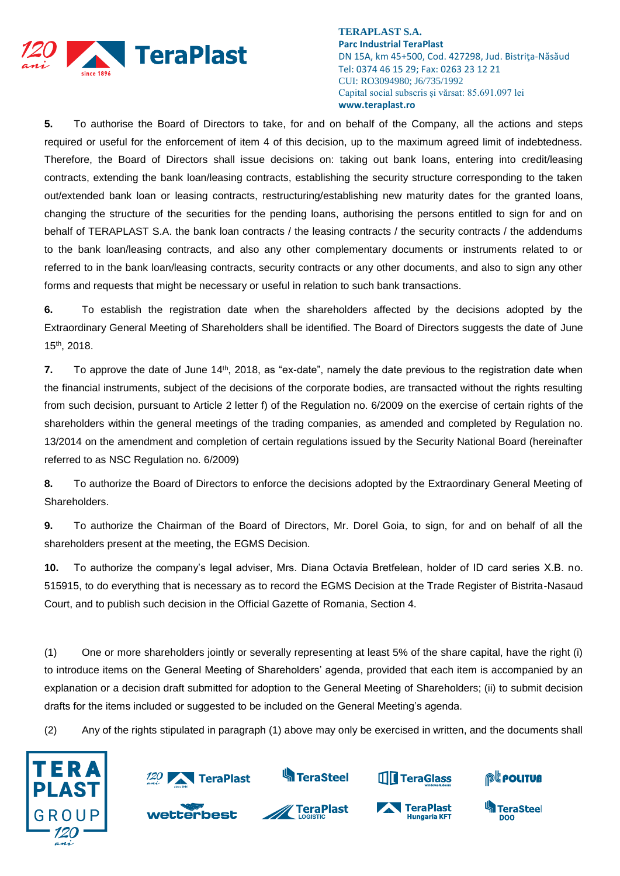

**5.** To authorise the Board of Directors to take, for and on behalf of the Company, all the actions and steps required or useful for the enforcement of item 4 of this decision, up to the maximum agreed limit of indebtedness. Therefore, the Board of Directors shall issue decisions on: taking out bank loans, entering into credit/leasing contracts, extending the bank loan/leasing contracts, establishing the security structure corresponding to the taken out/extended bank loan or leasing contracts, restructuring/establishing new maturity dates for the granted loans, changing the structure of the securities for the pending loans, authorising the persons entitled to sign for and on behalf of TERAPLAST S.A. the bank loan contracts / the leasing contracts / the security contracts / the addendums to the bank loan/leasing contracts, and also any other complementary documents or instruments related to or referred to in the bank loan/leasing contracts, security contracts or any other documents, and also to sign any other forms and requests that might be necessary or useful in relation to such bank transactions.

**6.** To establish the registration date when the shareholders affected by the decisions adopted by the Extraordinary General Meeting of Shareholders shall be identified. The Board of Directors suggests the date of June 15 th, 2018.

**7.** To approve the date of June 14<sup>th</sup>, 2018, as "ex-date", namely the date previous to the registration date when the financial instruments, subject of the decisions of the corporate bodies, are transacted without the rights resulting from such decision, pursuant to Article 2 letter f) of the Regulation no. 6/2009 on the exercise of certain rights of the shareholders within the general meetings of the trading companies, as amended and completed by Regulation no. 13/2014 on the amendment and completion of certain regulations issued by the Security National Board (hereinafter referred to as NSC Regulation no. 6/2009)

**8.** To authorize the Board of Directors to enforce the decisions adopted by the Extraordinary General Meeting of Shareholders.

**9.** To authorize the Chairman of the Board of Directors, Mr. Dorel Goia, to sign, for and on behalf of all the shareholders present at the meeting, the EGMS Decision.

**10.** To authorize the company's legal adviser, Mrs. Diana Octavia Bretfelean, holder of ID card series X.B. no. 515915, to do everything that is necessary as to record the EGMS Decision at the Trade Register of Bistrita-Nasaud Court, and to publish such decision in the Official Gazette of Romania, Section 4.

(1) One or more shareholders jointly or severally representing at least 5% of the share capital, have the right (i) to introduce items on the General Meeting of Shareholders' agenda, provided that each item is accompanied by an explanation or a decision draft submitted for adoption to the General Meeting of Shareholders; (ii) to submit decision drafts for the items included or suggested to be included on the General Meeting's agenda.

(2) Any of the rights stipulated in paragraph (1) above may only be exercised in written, and the documents shall





wetterbest



**TeraPlast** 







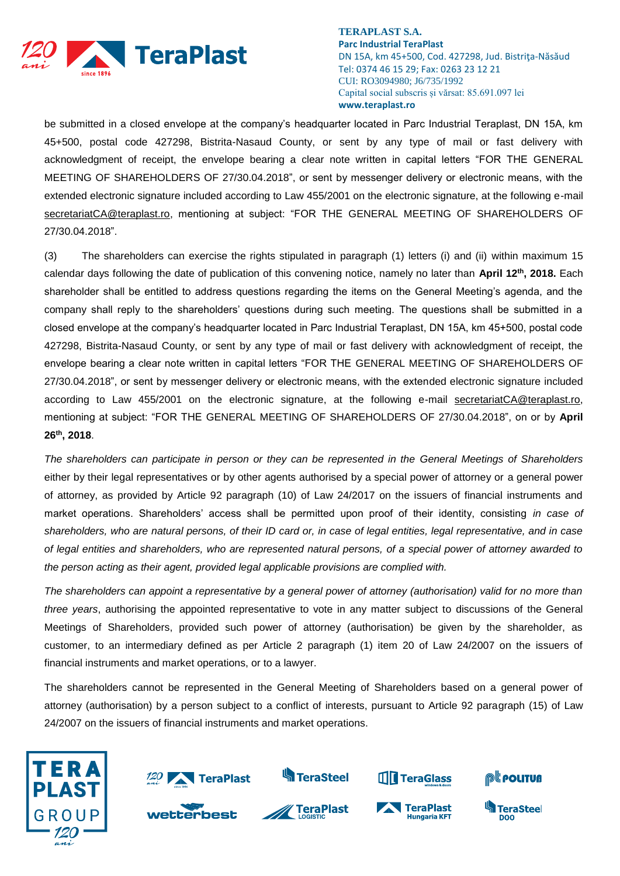

be submitted in a closed envelope at the company's headquarter located in Parc Industrial Teraplast, DN 15A, km 45+500, postal code 427298, Bistrita-Nasaud County, or sent by any type of mail or fast delivery with acknowledgment of receipt, the envelope bearing a clear note written in capital letters "FOR THE GENERAL MEETING OF SHAREHOLDERS OF 27/30.04.2018", or sent by messenger delivery or electronic means, with the extended electronic signature included according to Law 455/2001 on the electronic signature, at the following e-mail [secretariatCA@teraplast.ro,](mailto:secretariatCA@teraplast.ro) mentioning at subject: "FOR THE GENERAL MEETING OF SHAREHOLDERS OF 27/30.04.2018".

(3) The shareholders can exercise the rights stipulated in paragraph (1) letters (i) and (ii) within maximum 15 calendar days following the date of publication of this convening notice, namely no later than **April 12th, 2018.** Each shareholder shall be entitled to address questions regarding the items on the General Meeting's agenda, and the company shall reply to the shareholders' questions during such meeting. The questions shall be submitted in a closed envelope at the company's headquarter located in Parc Industrial Teraplast, DN 15A, km 45+500, postal code 427298, Bistrita-Nasaud County, or sent by any type of mail or fast delivery with acknowledgment of receipt, the envelope bearing a clear note written in capital letters "FOR THE GENERAL MEETING OF SHAREHOLDERS OF 27/30.04.2018", or sent by messenger delivery or electronic means, with the extended electronic signature included according to Law 455/2001 on the electronic signature, at the following e-mail [secretariatCA@teraplast.ro,](mailto:secretariatCA@teraplast.ro) mentioning at subject: "FOR THE GENERAL MEETING OF SHAREHOLDERS OF 27/30.04.2018", on or by **April 26 th, 2018**.

*The shareholders can participate in person or they can be represented in the General Meetings of Shareholders* either by their legal representatives or by other agents authorised by a special power of attorney or a general power of attorney, as provided by Article 92 paragraph (10) of Law 24/2017 on the issuers of financial instruments and market operations. Shareholders' access shall be permitted upon proof of their identity, consisting *in case of shareholders, who are natural persons, of their ID card or, in case of legal entities, legal representative, and in case of legal entities and shareholders, who are represented natural persons, of a special power of attorney awarded to the person acting as their agent, provided legal applicable provisions are complied with.*

*The shareholders can appoint a representative by a general power of attorney (authorisation) valid for no more than three years*, authorising the appointed representative to vote in any matter subject to discussions of the General Meetings of Shareholders, provided such power of attorney (authorisation) be given by the shareholder, as customer, to an intermediary defined as per Article 2 paragraph (1) item 20 of Law 24/2007 on the issuers of financial instruments and market operations, or to a lawyer.

The shareholders cannot be represented in the General Meeting of Shareholders based on a general power of attorney (authorisation) by a person subject to a conflict of interests, pursuant to Article 92 paragraph (15) of Law 24/2007 on the issuers of financial instruments and market operations.







**S**TeraSteel





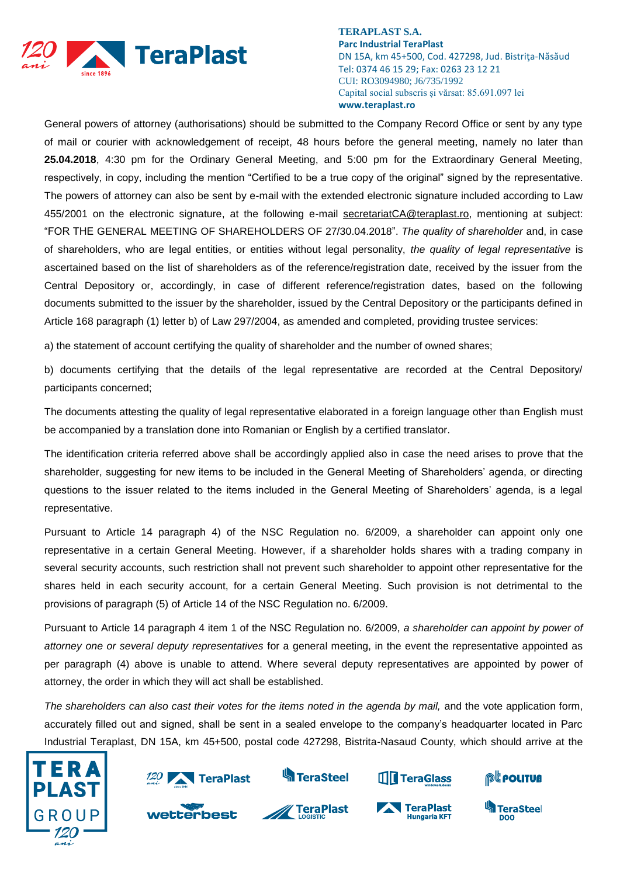

General powers of attorney (authorisations) should be submitted to the Company Record Office or sent by any type of mail or courier with acknowledgement of receipt, 48 hours before the general meeting, namely no later than **25.04.2018**, 4:30 pm for the Ordinary General Meeting, and 5:00 pm for the Extraordinary General Meeting, respectively, in copy, including the mention "Certified to be a true copy of the original" signed by the representative. The powers of attorney can also be sent by e-mail with the extended electronic signature included according to Law 455/2001 on the electronic signature, at the following e-mail [secretariatCA@teraplast.ro,](mailto:secretariatCA@teraplast.ro) mentioning at subject: "FOR THE GENERAL MEETING OF SHAREHOLDERS OF 27/30.04.2018". *The quality of shareholder* and, in case of shareholders, who are legal entities, or entities without legal personality, *the quality of legal representative* is ascertained based on the list of shareholders as of the reference/registration date, received by the issuer from the Central Depository or, accordingly, in case of different reference/registration dates, based on the following documents submitted to the issuer by the shareholder, issued by the Central Depository or the participants defined in Article 168 paragraph (1) letter b) of Law 297/2004, as amended and completed, providing trustee services:

a) the statement of account certifying the quality of shareholder and the number of owned shares;

b) documents certifying that the details of the legal representative are recorded at the Central Depository/ participants concerned;

The documents attesting the quality of legal representative elaborated in a foreign language other than English must be accompanied by a translation done into Romanian or English by a certified translator.

The identification criteria referred above shall be accordingly applied also in case the need arises to prove that the shareholder, suggesting for new items to be included in the General Meeting of Shareholders' agenda, or directing questions to the issuer related to the items included in the General Meeting of Shareholders' agenda, is a legal representative.

Pursuant to Article 14 paragraph 4) of the NSC Regulation no. 6/2009, a shareholder can appoint only one representative in a certain General Meeting. However, if a shareholder holds shares with a trading company in several security accounts, such restriction shall not prevent such shareholder to appoint other representative for the shares held in each security account, for a certain General Meeting. Such provision is not detrimental to the provisions of paragraph (5) of Article 14 of the NSC Regulation no. 6/2009.

Pursuant to Article 14 paragraph 4 item 1 of the NSC Regulation no. 6/2009, *a shareholder can appoint by power of attorney one or several deputy representatives* for a general meeting, in the event the representative appointed as per paragraph (4) above is unable to attend. Where several deputy representatives are appointed by power of attorney, the order in which they will act shall be established.

The shareholders can also cast their votes for the items noted in the agenda by mail, and the vote application form, accurately filled out and signed, shall be sent in a sealed envelope to the company's headquarter located in Parc Industrial Teraplast, DN 15A, km 45+500, postal code 427298, Bistrita-Nasaud County, which should arrive at the





wetterbest







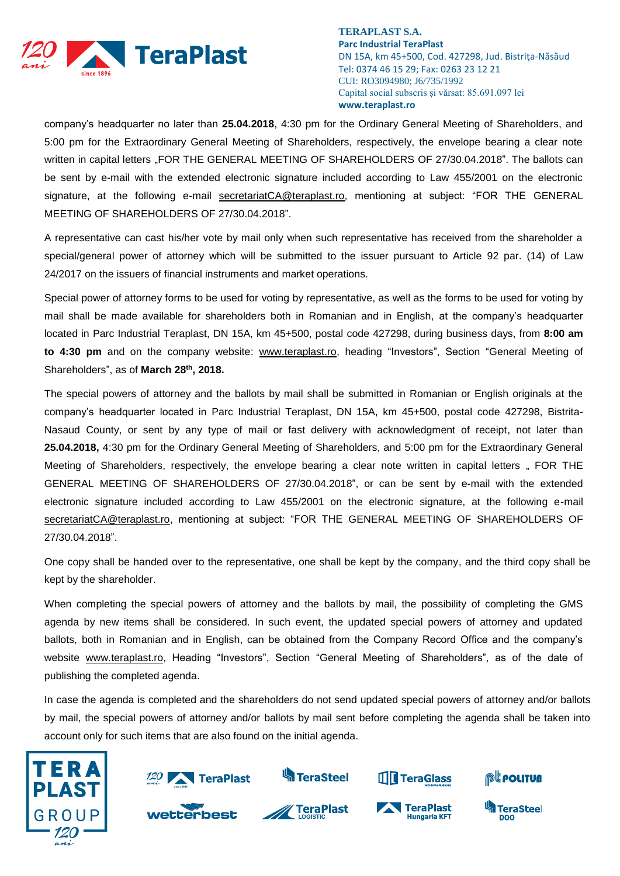

company's headquarter no later than **25.04.2018**, 4:30 pm for the Ordinary General Meeting of Shareholders, and 5:00 pm for the Extraordinary General Meeting of Shareholders, respectively, the envelope bearing a clear note written in capital letters "FOR THE GENERAL MEETING OF SHAREHOLDERS OF 27/30.04.2018". The ballots can be sent by e-mail with the extended electronic signature included according to Law 455/2001 on the electronic signature, at the following e-mail [secretariatCA@teraplast.ro,](mailto:secretariatCA@teraplast.ro) mentioning at subject: "FOR THE GENERAL MEETING OF SHAREHOLDERS OF 27/30.04.2018".

A representative can cast his/her vote by mail only when such representative has received from the shareholder a special/general power of attorney which will be submitted to the issuer pursuant to Article 92 par. (14) of Law 24/2017 on the issuers of financial instruments and market operations.

Special power of attorney forms to be used for voting by representative, as well as the forms to be used for voting by mail shall be made available for shareholders both in Romanian and in English, at the company's headquarter located in Parc Industrial Teraplast, DN 15A, km 45+500, postal code 427298, during business days, from **8:00 am to 4:30 pm** and on the company website: [www.teraplast.ro,](http://www.teraplast.ro/) heading "Investors", Section "General Meeting of Shareholders", as of **March 28 th , 2018.**

The special powers of attorney and the ballots by mail shall be submitted in Romanian or English originals at the company's headquarter located in Parc Industrial Teraplast, DN 15A, km 45+500, postal code 427298, Bistrita-Nasaud County, or sent by any type of mail or fast delivery with acknowledgment of receipt, not later than **25.04.2018,** 4:30 pm for the Ordinary General Meeting of Shareholders, and 5:00 pm for the Extraordinary General Meeting of Shareholders, respectively, the envelope bearing a clear note written in capital letters " FOR THE GENERAL MEETING OF SHAREHOLDERS OF 27/30.04.2018", or can be sent by e-mail with the extended electronic signature included according to Law 455/2001 on the electronic signature, at the following e-mail [secretariatCA@teraplast.ro,](mailto:secretariatCA@teraplast.ro) mentioning at subject: "FOR THE GENERAL MEETING OF SHAREHOLDERS OF 27/30.04.2018".

One copy shall be handed over to the representative, one shall be kept by the company, and the third copy shall be kept by the shareholder.

When completing the special powers of attorney and the ballots by mail, the possibility of completing the GMS agenda by new items shall be considered. In such event, the updated special powers of attorney and updated ballots, both in Romanian and in English, can be obtained from the Company Record Office and the company's website [www.teraplast.ro,](http://www.teraplast.ro/) Heading "Investors", Section "General Meeting of Shareholders", as of the date of publishing the completed agenda.

In case the agenda is completed and the shareholders do not send updated special powers of attorney and/or ballots by mail, the special powers of attorney and/or ballots by mail sent before completing the agenda shall be taken into account only for such items that are also found on the initial agenda.







**S**TeraSteel